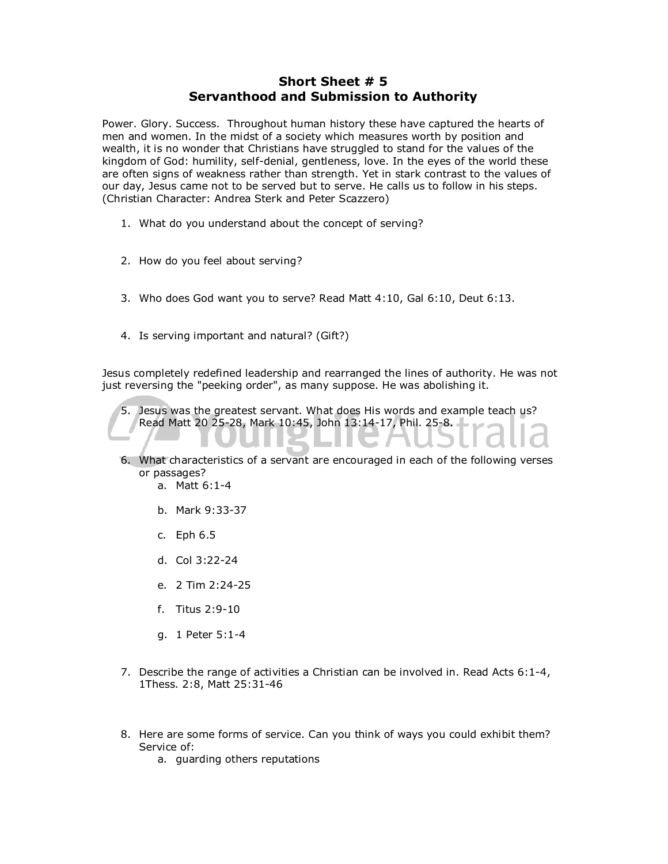## **Short Sheet # 5 Servanthood and Submission to Authority**

Power. Glory. Success. Throughout human history these have captured the hearts of men and women. In the midst of a society which measures worth by position and wealth, it is no wonder that Christians have struggled to stand for the values of the kingdom of God: humility, self-denial, gentleness, love. In the eyes of the world these are often signs of weakness rather than strength. Yet in stark contrast to the values of our day, Jesus came not to be served but to serve. He calls us to follow in his steps. (Christian Character: Andrea Sterk and Peter Scazzero)

- 1. What do you understand about the concept of serving?
- 2. How do you feel about serving?
- 3. Who does God want you to serve? Read Matt 4:10, Gal 6:10, Deut 6:13.
- 4. Is serving important and natural? (Gift?)

Jesus completely redefined leadership and rearranged the lines of authority. He was not just reversing the "peeking order", as many suppose. He was abolishing it.

5. Jesus was the greatest servant. What does His words and example teach us? Read Matt 20 25-28, Mark 10:45, John 13:14-17, Phil. 25-8.

- 6. What characteristics of a servant are encouraged in each of the following verses or passages?
	- a. Matt 6:1-4
	- b. Mark 9:33-37
	- c. Eph 6.5
	- d. Col 3:22-24
	- e. 2 Tim 2:24-25
	- f. Titus 2:9-10
	- g. 1 Peter 5:1-4
- 7. Describe the range of activities a Christian can be involved in. Read Acts 6:1-4, 1Thess. 2:8, Matt 25:31-46
- 8. Here are some forms of service. Can you think of ways you could exhibit them? Service of:
	- a. guarding others reputations